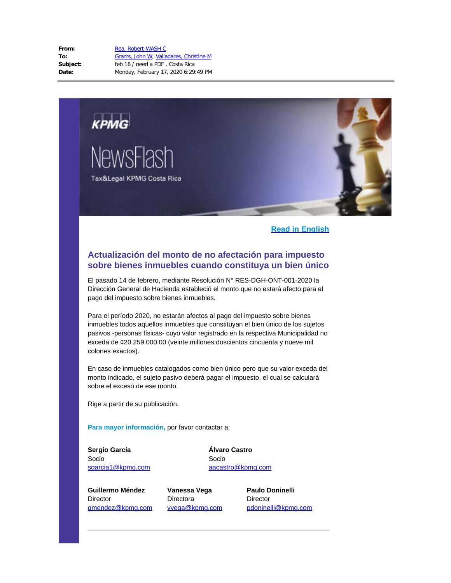

## **Read in English**

# **Actualización del monto de no afectación para impuesto sobre bienes inmuebles cuando constituya un bien único**

El pasado 14 de febrero, mediante Resolución N° RES-DGH-ONT-001-2020 la Dirección General de Hacienda estableció el monto que no estará afecto para el pago del impuesto sobre bienes inmuebles.

Para el período 2020, no estarán afectos al pago del impuesto sobre bienes inmuebles todos aquellos inmuebles que constituyan el bien único de los sujetos pasivos -personas físicas- cuyo valor registrado en la respectiva Municipalidad no exceda de ¢20.259.000,00 (veinte millones doscientos cincuenta y nueve mil colones exactos).

En caso de inmuebles catalogados como bien único pero que su valor exceda del monto indicado, el sujeto pasivo deberá pagar el impuesto, el cual se calculará sobre el exceso de ese monto.

Rige a partir de su publicación.

**Para mayor información,** por favor contactar a:

**Sergio García** Socio [sgarcia1@kpmg.com](mailto:sgarcia1@kpmg.com) **Álvaro Castro** Socio [aacastro@kpmg.com](mailto:aacastro@kpmg.com)

**Guillermo Méndez Director** [gmendez@kpmg.com](mailto:gmendez@kpmg.com) **Vanessa Vega** Directora [vvega@kpmg.com](mailto:vvega@kpmg.com) **Paulo Doninelli** Director [pdoninelli@kpmg.com](mailto:pdoninelli@kpmg.com)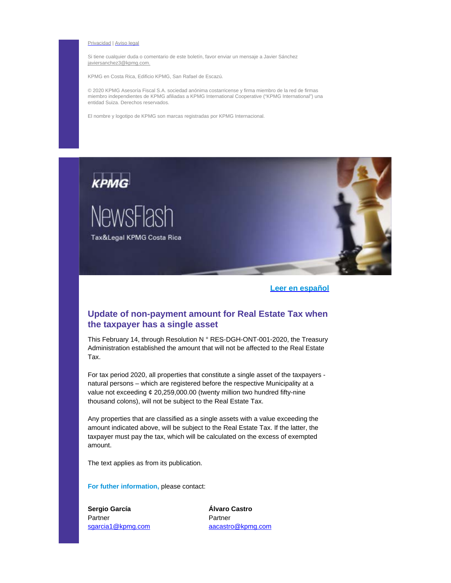#### [Privacidad](https://urldefense.proofpoint.com/v2/url?u=http-3A__kpmg.mailrelay-2Div.es_newslink_48545_9.html&d=DwMFaQ&c=0TzQCy9lgR5hSW-bDg5HA76y7nf4lvOzvVop5GM3Y80&r=lp_xjFZmUu0JdxqLEyNKRq7vltWznBxJcTNhEEi0grU&m=95AcNKUi0LN97ghD2uga-J8Jqyt__ReWsCqQMaiFJUY&s=9V7obVPNeEc6J_DRdnONaNyzkcZrpTYwydGdYifuLaw&e=) | [Aviso](https://urldefense.proofpoint.com/v2/url?u=http-3A__kpmg.mailrelay-2Div.es_newslink_48545_4.html&d=DwMFaQ&c=0TzQCy9lgR5hSW-bDg5HA76y7nf4lvOzvVop5GM3Y80&r=lp_xjFZmUu0JdxqLEyNKRq7vltWznBxJcTNhEEi0grU&m=95AcNKUi0LN97ghD2uga-J8Jqyt__ReWsCqQMaiFJUY&s=IZYeeeU1kJslEFAWBDTgzs8tP3a4a6b1xJDrD_v3L60&e=) legal

Si tiene cualquier duda o comentario de este boletín, favor enviar un mensaje a Javier Sánchez javiersan[chez3@kpmg.c](mailto:javiersanchez3@kpmg.com?subject=Favor%20excluir%20de%20lista%20de%20env%C3%ADos&body=Favor%20excluir%20de%20lista%20de%20env%C3%ADos%20del%20Tax%26Legal%20NewsFlash.%0A%0AMuchas%20gracias.)om.

KPMG en Costa Rica, Edificio KPMG, San Rafael de Escazú.

© 2020 KPMG Asesoría Fiscal S.A. sociedad anónima costarricense y firma miembro de la red de firmas miembro independientes de KPMG afiliadas a KPMG International Cooperative ("KPMG International") una entidad Suiza. Derechos reservados.

El nombre y logotipo de KPMG son marcas registradas por KPMG Internacional.



### **Leer en español**

## **Update of non-payment amount for Real Estate Tax when the taxpayer has a single asset**

This February 14, through Resolution N ° RES-DGH-ONT-001-2020, the Treasury Administration established the amount that will not be affected to the Real Estate Tax.

For tax period 2020, all properties that constitute a single asset of the taxpayers natural persons – which are registered before the respective Municipality at a value not exceeding ¢ 20,259,000.00 (twenty million two hundred fifty-nine thousand colons), will not be subject to the Real Estate Tax.

Any properties that are classified as a single assets with a value exceeding the amount indicated above, will be subject to the Real Estate Tax. If the latter, the taxpayer must pay the tax, which will be calculated on the excess of exempted amount.

The text applies as from its publication.

**For futher information,** please contact:

**Sergio García** Partner [sgarcia1@kpmg.com](mailto:sgarcia1@kpmg.com) **Álvaro Castro** Partner [aacastro@kpmg.com](mailto:aacastro@kpmg.com)